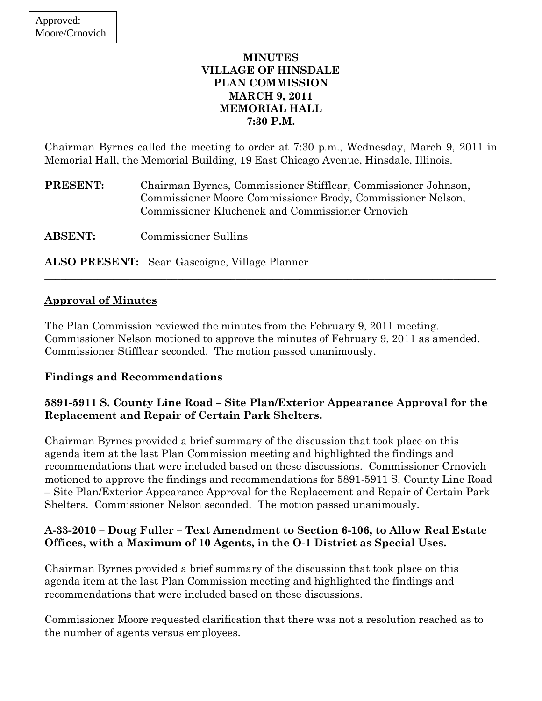## **MINUTES VILLAGE OF HINSDALE PLAN COMMISSION MARCH 9, 2011 MEMORIAL HALL 7:30 P.M.**

Chairman Byrnes called the meeting to order at 7:30 p.m., Wednesday, March 9, 2011 in Memorial Hall, the Memorial Building, 19 East Chicago Avenue, Hinsdale, Illinois.

**PRESENT:** Chairman Byrnes, Commissioner Stifflear, Commissioner Johnson, Commissioner Moore Commissioner Brody, Commissioner Nelson, Commissioner Kluchenek and Commissioner Crnovich

**ABSENT:** Commissioner Sullins

**ALSO PRESENT:** Sean Gascoigne, Village Planner

## **Approval of Minutes**

The Plan Commission reviewed the minutes from the February 9, 2011 meeting. Commissioner Nelson motioned to approve the minutes of February 9, 2011 as amended. Commissioner Stifflear seconded. The motion passed unanimously.

 $\_$  , and the set of the set of the set of the set of the set of the set of the set of the set of the set of the set of the set of the set of the set of the set of the set of the set of the set of the set of the set of th

## **Findings and Recommendations**

## **5891-5911 S. County Line Road – Site Plan/Exterior Appearance Approval for the Replacement and Repair of Certain Park Shelters.**

Chairman Byrnes provided a brief summary of the discussion that took place on this agenda item at the last Plan Commission meeting and highlighted the findings and recommendations that were included based on these discussions. Commissioner Crnovich motioned to approve the findings and recommendations for 5891-5911 S. County Line Road – Site Plan/Exterior Appearance Approval for the Replacement and Repair of Certain Park Shelters. Commissioner Nelson seconded. The motion passed unanimously.

## **A-33-2010 – Doug Fuller – Text Amendment to Section 6-106, to Allow Real Estate Offices, with a Maximum of 10 Agents, in the O-1 District as Special Uses.**

Chairman Byrnes provided a brief summary of the discussion that took place on this agenda item at the last Plan Commission meeting and highlighted the findings and recommendations that were included based on these discussions.

Commissioner Moore requested clarification that there was not a resolution reached as to the number of agents versus employees.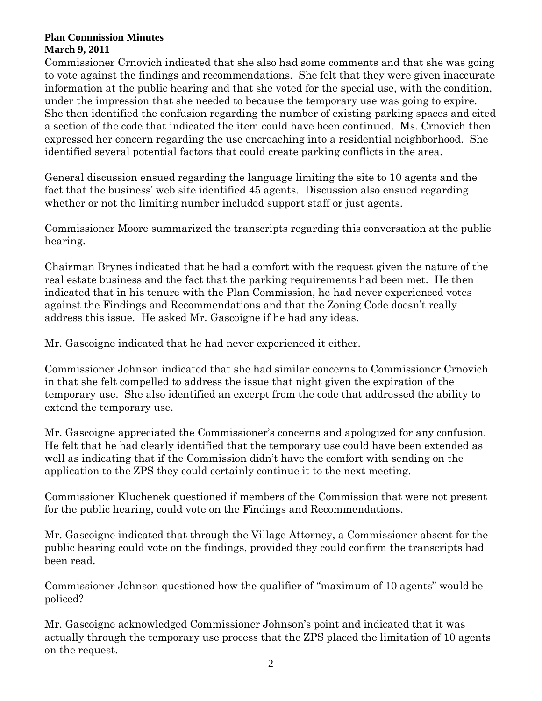Commissioner Crnovich indicated that she also had some comments and that she was going to vote against the findings and recommendations. She felt that they were given inaccurate information at the public hearing and that she voted for the special use, with the condition, under the impression that she needed to because the temporary use was going to expire. She then identified the confusion regarding the number of existing parking spaces and cited a section of the code that indicated the item could have been continued. Ms. Crnovich then expressed her concern regarding the use encroaching into a residential neighborhood. She identified several potential factors that could create parking conflicts in the area.

General discussion ensued regarding the language limiting the site to 10 agents and the fact that the business' web site identified 45 agents. Discussion also ensued regarding whether or not the limiting number included support staff or just agents.

Commissioner Moore summarized the transcripts regarding this conversation at the public hearing.

Chairman Brynes indicated that he had a comfort with the request given the nature of the real estate business and the fact that the parking requirements had been met. He then indicated that in his tenure with the Plan Commission, he had never experienced votes against the Findings and Recommendations and that the Zoning Code doesn't really address this issue. He asked Mr. Gascoigne if he had any ideas.

Mr. Gascoigne indicated that he had never experienced it either.

Commissioner Johnson indicated that she had similar concerns to Commissioner Crnovich in that she felt compelled to address the issue that night given the expiration of the temporary use. She also identified an excerpt from the code that addressed the ability to extend the temporary use.

Mr. Gascoigne appreciated the Commissioner's concerns and apologized for any confusion. He felt that he had clearly identified that the temporary use could have been extended as well as indicating that if the Commission didn't have the comfort with sending on the application to the ZPS they could certainly continue it to the next meeting.

Commissioner Kluchenek questioned if members of the Commission that were not present for the public hearing, could vote on the Findings and Recommendations.

Mr. Gascoigne indicated that through the Village Attorney, a Commissioner absent for the public hearing could vote on the findings, provided they could confirm the transcripts had been read.

Commissioner Johnson questioned how the qualifier of "maximum of 10 agents" would be policed?

Mr. Gascoigne acknowledged Commissioner Johnson's point and indicated that it was actually through the temporary use process that the ZPS placed the limitation of 10 agents on the request.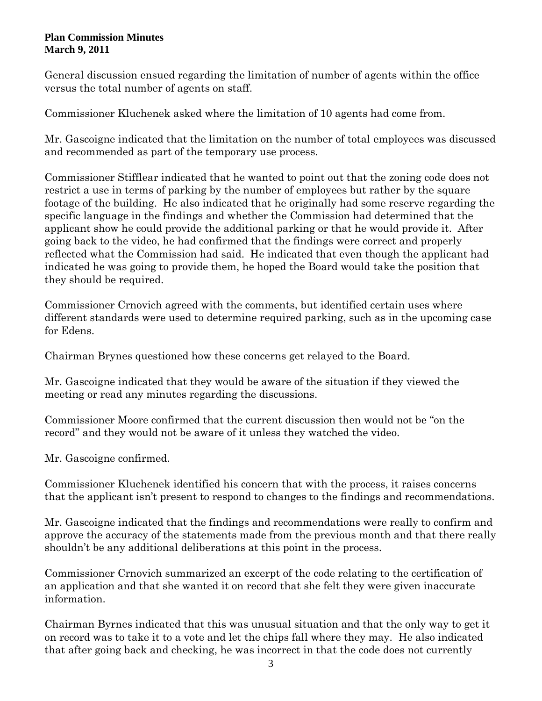General discussion ensued regarding the limitation of number of agents within the office versus the total number of agents on staff.

Commissioner Kluchenek asked where the limitation of 10 agents had come from.

Mr. Gascoigne indicated that the limitation on the number of total employees was discussed and recommended as part of the temporary use process.

Commissioner Stifflear indicated that he wanted to point out that the zoning code does not restrict a use in terms of parking by the number of employees but rather by the square footage of the building. He also indicated that he originally had some reserve regarding the specific language in the findings and whether the Commission had determined that the applicant show he could provide the additional parking or that he would provide it. After going back to the video, he had confirmed that the findings were correct and properly reflected what the Commission had said. He indicated that even though the applicant had indicated he was going to provide them, he hoped the Board would take the position that they should be required.

Commissioner Crnovich agreed with the comments, but identified certain uses where different standards were used to determine required parking, such as in the upcoming case for Edens.

Chairman Brynes questioned how these concerns get relayed to the Board.

Mr. Gascoigne indicated that they would be aware of the situation if they viewed the meeting or read any minutes regarding the discussions.

Commissioner Moore confirmed that the current discussion then would not be "on the record" and they would not be aware of it unless they watched the video.

Mr. Gascoigne confirmed.

Commissioner Kluchenek identified his concern that with the process, it raises concerns that the applicant isn't present to respond to changes to the findings and recommendations.

Mr. Gascoigne indicated that the findings and recommendations were really to confirm and approve the accuracy of the statements made from the previous month and that there really shouldn't be any additional deliberations at this point in the process.

Commissioner Crnovich summarized an excerpt of the code relating to the certification of an application and that she wanted it on record that she felt they were given inaccurate information.

Chairman Byrnes indicated that this was unusual situation and that the only way to get it on record was to take it to a vote and let the chips fall where they may. He also indicated that after going back and checking, he was incorrect in that the code does not currently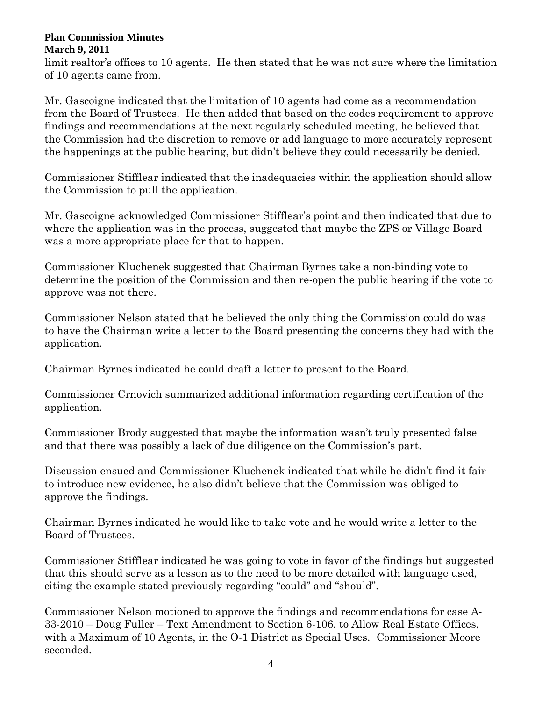limit realtor's offices to 10 agents. He then stated that he was not sure where the limitation of 10 agents came from.

Mr. Gascoigne indicated that the limitation of 10 agents had come as a recommendation from the Board of Trustees. He then added that based on the codes requirement to approve findings and recommendations at the next regularly scheduled meeting, he believed that the Commission had the discretion to remove or add language to more accurately represent the happenings at the public hearing, but didn't believe they could necessarily be denied.

Commissioner Stifflear indicated that the inadequacies within the application should allow the Commission to pull the application.

Mr. Gascoigne acknowledged Commissioner Stifflear's point and then indicated that due to where the application was in the process, suggested that maybe the ZPS or Village Board was a more appropriate place for that to happen.

Commissioner Kluchenek suggested that Chairman Byrnes take a non-binding vote to determine the position of the Commission and then re-open the public hearing if the vote to approve was not there.

Commissioner Nelson stated that he believed the only thing the Commission could do was to have the Chairman write a letter to the Board presenting the concerns they had with the application.

Chairman Byrnes indicated he could draft a letter to present to the Board.

Commissioner Crnovich summarized additional information regarding certification of the application.

Commissioner Brody suggested that maybe the information wasn't truly presented false and that there was possibly a lack of due diligence on the Commission's part.

Discussion ensued and Commissioner Kluchenek indicated that while he didn't find it fair to introduce new evidence, he also didn't believe that the Commission was obliged to approve the findings.

Chairman Byrnes indicated he would like to take vote and he would write a letter to the Board of Trustees.

Commissioner Stifflear indicated he was going to vote in favor of the findings but suggested that this should serve as a lesson as to the need to be more detailed with language used, citing the example stated previously regarding "could" and "should".

Commissioner Nelson motioned to approve the findings and recommendations for case A-33-2010 – Doug Fuller – Text Amendment to Section 6-106, to Allow Real Estate Offices, with a Maximum of 10 Agents, in the O-1 District as Special Uses.Commissioner Moore seconded.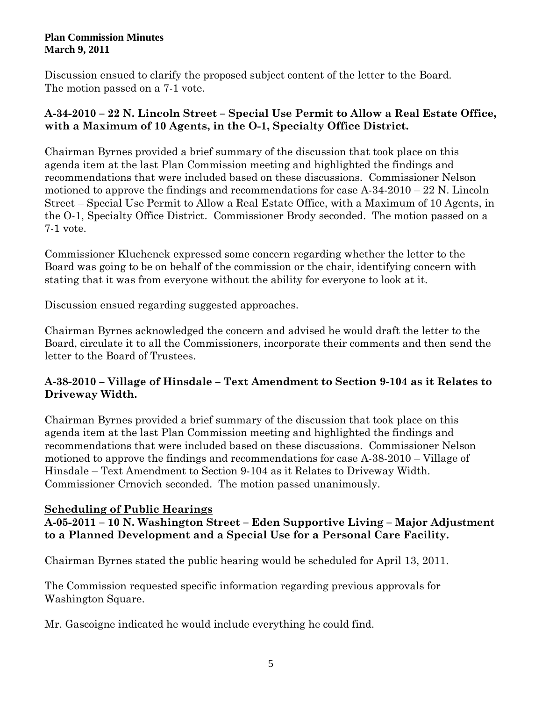Discussion ensued to clarify the proposed subject content of the letter to the Board. The motion passed on a 7-1 vote.

# **A-34-2010 – 22 N. Lincoln Street – Special Use Permit to Allow a Real Estate Office, with a Maximum of 10 Agents, in the O-1, Specialty Office District.**

Chairman Byrnes provided a brief summary of the discussion that took place on this agenda item at the last Plan Commission meeting and highlighted the findings and recommendations that were included based on these discussions. Commissioner Nelson motioned to approve the findings and recommendations for case A-34-2010 – 22 N. Lincoln Street – Special Use Permit to Allow a Real Estate Office, with a Maximum of 10 Agents, in the O-1, Specialty Office District. Commissioner Brody seconded. The motion passed on a 7-1 vote.

Commissioner Kluchenek expressed some concern regarding whether the letter to the Board was going to be on behalf of the commission or the chair, identifying concern with stating that it was from everyone without the ability for everyone to look at it.

Discussion ensued regarding suggested approaches.

Chairman Byrnes acknowledged the concern and advised he would draft the letter to the Board, circulate it to all the Commissioners, incorporate their comments and then send the letter to the Board of Trustees.

# **A-38-2010 – Village of Hinsdale – Text Amendment to Section 9-104 as it Relates to Driveway Width.**

Chairman Byrnes provided a brief summary of the discussion that took place on this agenda item at the last Plan Commission meeting and highlighted the findings and recommendations that were included based on these discussions. Commissioner Nelson motioned to approve the findings and recommendations for case A-38-2010 – Village of Hinsdale – Text Amendment to Section 9-104 as it Relates to Driveway Width. Commissioner Crnovich seconded. The motion passed unanimously.

# **Scheduling of Public Hearings**

# **A-05-2011 – 10 N. Washington Street – Eden Supportive Living – Major Adjustment to a Planned Development and a Special Use for a Personal Care Facility.**

Chairman Byrnes stated the public hearing would be scheduled for April 13, 2011.

The Commission requested specific information regarding previous approvals for Washington Square.

Mr. Gascoigne indicated he would include everything he could find.